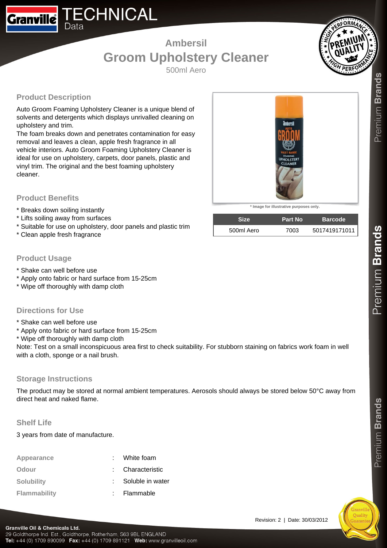## **Ambersil Groom Upholstery Cleaner**

500ml Aero

### **Product Description**

Data

**Granville** 

Auto Groom Foaming Upholstery Cleaner is a unique blend of solvents and detergents which displays unrivalled cleaning on upholstery and trim.

**ECHNICAL** 

The foam breaks down and penetrates contamination for easy removal and leaves a clean, apple fresh fragrance in all vehicle interiors. Auto Groom Foaming Upholstery Cleaner is ideal for use on upholstery, carpets, door panels, plastic and vinyl trim. The original and the best foaming upholstery cleaner.

#### **Product Benefits**

- \* Breaks down soiling instantly
- \* Lifts soiling away from surfaces
- \* Suitable for use on upholstery, door panels and plastic trim
- \* Clean apple fresh fragrance

#### **Product Usage**

- \* Shake can well before use
- \* Apply onto fabric or hard surface from 15-25cm
- \* Wipe off thoroughly with damp cloth

#### **Directions for Use**

- \* Shake can well before use
- \* Apply onto fabric or hard surface from 15-25cm
- \* Wipe off thoroughly with damp cloth

Note: Test on a small inconspicuous area first to check suitability. For stubborn staining on fabrics work foam in well with a cloth, sponge or a nail brush.

#### **Storage Instructions**

The product may be stored at normal ambient temperatures. Aerosols should always be stored below 50°C away from direct heat and naked flame.

#### **Shelf Life**

3 years from date of manufacture.

| Appearance          | : White foam     |
|---------------------|------------------|
| Odour               | : Characteristic |
| <b>Solubility</b>   | Soluble in water |
| <b>Flammability</b> | Flammable        |



 $P$ remium Brands



**\* Image for illustrative purposes only.**

| <b>Size</b> | <b>Part No</b> | <b>Barcode</b> |
|-------------|----------------|----------------|
| 500ml Aero  | 7003           | 5017419171011  |